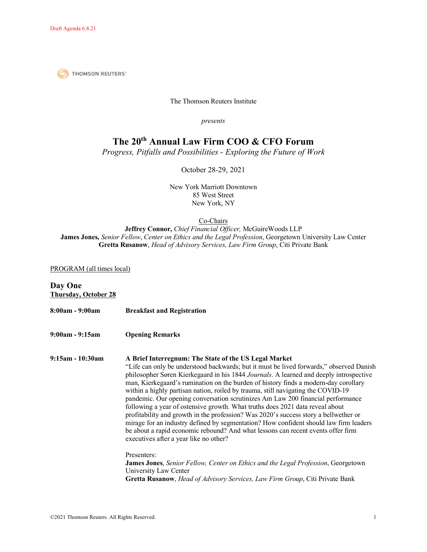**THOMSON REUTERS®** 

The Thomson Reuters Institute

*presents*

# **The 20th Annual Law Firm COO & CFO Forum**

*Progress, Pitfalls and Possibilities - Exploring the Future of Work*

October 28-29, 2021

New York Marriott Downtown 85 West Street New York, NY

Co-Chairs

**Jeffrey Connor,** *Chief Financial Officer,* McGuireWoods LLP **James Jones,** *Senior Fellow*, *Center on Ethics and the Legal Profession*, Georgetown University Law Center **Gretta Rusanow**, *Head of Advisory Services, Law Firm Group*, Citi Private Bank

### PROGRAM (all times local)

## **Day One Thursday, October 28 8:00am - 9:00am Breakfast and Registration 9:00am - 9:15am Opening Remarks 9:15am - 10:30am A Brief Interregnum: The State of the US Legal Market** "Life can only be understood backwards; but it must be lived forwards," observed Danish philosopher Søren Kierkegaard in his 1844 *Journals*. A learned and deeply introspective man, Kierkegaard's rumination on the burden of history finds a modern-day corollary within a highly partisan nation, roiled by trauma, still navigating the COVID-19 pandemic. Our opening conversation scrutinizes Am Law 200 financial performance following a year of ostensive growth. What truths does 2021 data reveal about profitability and growth in the profession? Was 2020's success story a bellwether or mirage for an industry defined by segmentation? How confident should law firm leaders be about a rapid economic rebound? And what lessons can recent events offer firm executives after a year like no other? Presenters: **James Jones**, *Senior Fellow, Center on Ethics and the Legal Profession*, Georgetown University Law Center **Gretta Rusanow**, *Head of Advisory Services, Law Firm Group*, Citi Private Bank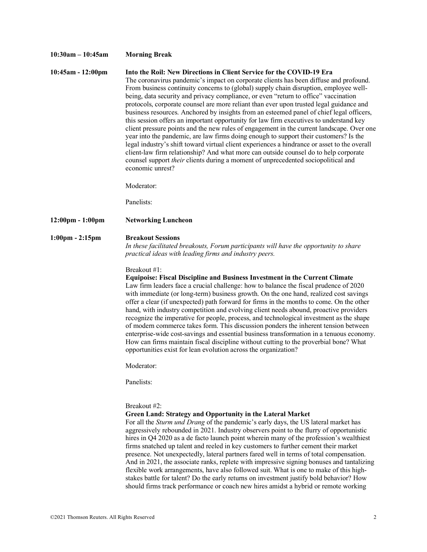### **10:30am – 10:45am Morning Break 10:45am - 12:00pm Into the Roil: New Directions in Client Service for the COVID-19 Era** The coronavirus pandemic's impact on corporate clients has been diffuse and profound. From business continuity concerns to (global) supply chain disruption, employee wellbeing, data security and privacy compliance, or even "return to office" vaccination protocols, corporate counsel are more reliant than ever upon trusted legal guidance and business resources. Anchored by insights from an esteemed panel of chief legal officers, this session offers an important opportunity for law firm executives to understand key client pressure points and the new rules of engagement in the current landscape. Over one year into the pandemic, are law firms doing enough to support their customers? Is the legal industry's shift toward virtual client experiences a hindrance or asset to the overall client-law firm relationship? And what more can outside counsel do to help corporate counsel support *their* clients during a moment of unprecedented sociopolitical and economic unrest? Moderator: Panelists: **12:00pm - 1:00pm Networking Luncheon 1:00pm - 2:15pm Breakout Sessions** *In these facilitated breakouts, Forum participants will have the opportunity to share practical ideas with leading firms and industry peers.*  Breakout #1: **Equipoise: Fiscal Discipline and Business Investment in the Current Climate** Law firm leaders face a crucial challenge: how to balance the fiscal prudence of 2020 with immediate (or long-term) business growth. On the one hand, realized cost savings offer a clear (if unexpected) path forward for firms in the months to come. On the other hand, with industry competition and evolving client needs abound, proactive providers recognize the imperative for people, process, and technological investment as the shape of modern commerce takes form. This discussion ponders the inherent tension between enterprise-wide cost-savings and essential business transformation in a tenuous economy. How can firms maintain fiscal discipline without cutting to the proverbial bone? What opportunities exist for lean evolution across the organization? Moderator: Panelists: Breakout #2: **Green Land: Strategy and Opportunity in the Lateral Market** For all the *Sturm und Drang* of the pandemic's early days, the US lateral market has aggressively rebounded in 2021. Industry observers point to the flurry of opportunistic hires in Q4 2020 as a de facto launch point wherein many of the profession's wealthiest firms snatched up talent and reeled in key customers to further cement their market presence. Not unexpectedly, lateral partners fared well in terms of total compensation. And in 2021, the associate ranks, replete with impressive signing bonuses and tantalizing flexible work arrangements, have also followed suit. What is one to make of this high-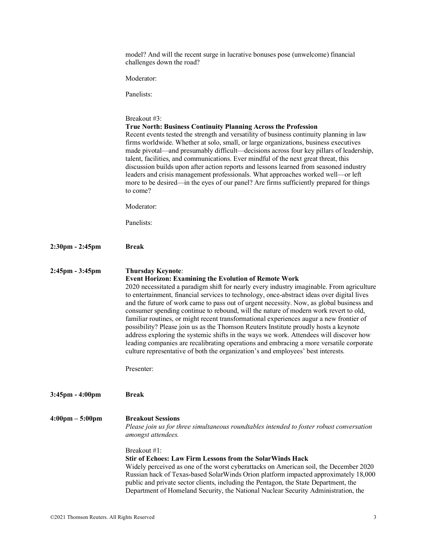|                                   | model? And will the recent surge in lucrative bonuses pose (unwelcome) financial<br>challenges down the road?                                                                                                                                                                                                                                                                                                                                                                                                                                                                                                                                                                                                                                                                                                                                                                                                                       |
|-----------------------------------|-------------------------------------------------------------------------------------------------------------------------------------------------------------------------------------------------------------------------------------------------------------------------------------------------------------------------------------------------------------------------------------------------------------------------------------------------------------------------------------------------------------------------------------------------------------------------------------------------------------------------------------------------------------------------------------------------------------------------------------------------------------------------------------------------------------------------------------------------------------------------------------------------------------------------------------|
|                                   | Moderator:                                                                                                                                                                                                                                                                                                                                                                                                                                                                                                                                                                                                                                                                                                                                                                                                                                                                                                                          |
|                                   | Panelists:                                                                                                                                                                                                                                                                                                                                                                                                                                                                                                                                                                                                                                                                                                                                                                                                                                                                                                                          |
|                                   | Breakout #3:<br><b>True North: Business Continuity Planning Across the Profession</b><br>Recent events tested the strength and versatility of business continuity planning in law<br>firms worldwide. Whether at solo, small, or large organizations, business executives<br>made pivotal—and presumably difficult—decisions across four key pillars of leadership,<br>talent, facilities, and communications. Ever mindful of the next great threat, this<br>discussion builds upon after action reports and lessons learned from seasoned industry<br>leaders and crisis management professionals. What approaches worked well-or left<br>more to be desired—in the eyes of our panel? Are firms sufficiently prepared for things<br>to come?                                                                                                                                                                                     |
|                                   | Moderator:                                                                                                                                                                                                                                                                                                                                                                                                                                                                                                                                                                                                                                                                                                                                                                                                                                                                                                                          |
|                                   | Panelists:                                                                                                                                                                                                                                                                                                                                                                                                                                                                                                                                                                                                                                                                                                                                                                                                                                                                                                                          |
| $2:30 \text{pm} - 2:45 \text{pm}$ | <b>Break</b>                                                                                                                                                                                                                                                                                                                                                                                                                                                                                                                                                                                                                                                                                                                                                                                                                                                                                                                        |
| 2:45pm - 3:45pm                   | <b>Thursday Keynote:</b><br><b>Event Horizon: Examining the Evolution of Remote Work</b><br>2020 necessitated a paradigm shift for nearly every industry imaginable. From agriculture<br>to entertainment, financial services to technology, once-abstract ideas over digital lives<br>and the future of work came to pass out of urgent necessity. Now, as global business and<br>consumer spending continue to rebound, will the nature of modern work revert to old,<br>familiar routines, or might recent transformational experiences augur a new frontier of<br>possibility? Please join us as the Thomson Reuters Institute proudly hosts a keynote<br>address exploring the systemic shifts in the ways we work. Attendees will discover how<br>leading companies are recalibrating operations and embracing a more versatile corporate<br>culture representative of both the organization's and employees' best interests. |
|                                   | Presenter:                                                                                                                                                                                                                                                                                                                                                                                                                                                                                                                                                                                                                                                                                                                                                                                                                                                                                                                          |
| $3:45$ pm - $4:00$ pm             | <b>Break</b>                                                                                                                                                                                                                                                                                                                                                                                                                                                                                                                                                                                                                                                                                                                                                                                                                                                                                                                        |
| $4:00 \text{pm} - 5:00 \text{pm}$ | <b>Breakout Sessions</b><br>Please join us for three simultaneous roundtables intended to foster robust conversation<br>amongst attendees.                                                                                                                                                                                                                                                                                                                                                                                                                                                                                                                                                                                                                                                                                                                                                                                          |
|                                   | Breakout #1:<br><b>Stir of Echoes: Law Firm Lessons from the SolarWinds Hack</b><br>Widely perceived as one of the worst cyberattacks on American soil, the December 2020<br>Russian hack of Texas-based SolarWinds Orion platform impacted approximately 18,000<br>public and private sector clients, including the Pentagon, the State Department, the<br>Department of Homeland Security, the National Nuclear Security Administration, the                                                                                                                                                                                                                                                                                                                                                                                                                                                                                      |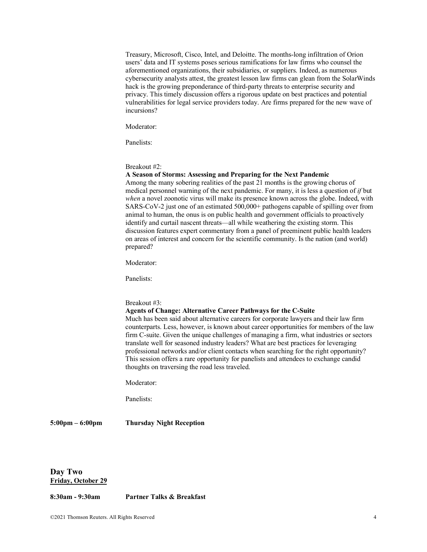Treasury, Microsoft, Cisco, Intel, and Deloitte. The months-long infiltration of Orion users' data and IT systems poses serious ramifications for law firms who counsel the aforementioned organizations, their subsidiaries, or suppliers. Indeed, as numerous cybersecurity analysts attest, the greatest lesson law firms can glean from the SolarWinds hack is the growing preponderance of third-party threats to enterprise security and privacy. This timely discussion offers a rigorous update on best practices and potential vulnerabilities for legal service providers today. Are firms prepared for the new wave of incursions?

Moderator:

Panelists:

Breakout #2:

### **A Season of Storms: Assessing and Preparing for the Next Pandemic**

Among the many sobering realities of the past 21 months is the growing chorus of medical personnel warning of the next pandemic. For many, it is less a question of *if* but *when* a novel zoonotic virus will make its presence known across the globe. Indeed, with SARS-CoV-2 just one of an estimated 500,000+ pathogens capable of spilling over from animal to human, the onus is on public health and government officials to proactively identify and curtail nascent threats—all while weathering the existing storm. This discussion features expert commentary from a panel of preeminent public health leaders on areas of interest and concern for the scientific community. Is the nation (and world) prepared?

Moderator:

Panelists:

### Breakout #3:

### **Agents of Change: Alternative Career Pathways for the C-Suite**

Much has been said about alternative careers for corporate lawyers and their law firm counterparts. Less, however, is known about career opportunities for members of the law firm C-suite. Given the unique challenges of managing a firm, what industries or sectors translate well for seasoned industry leaders? What are best practices for leveraging professional networks and/or client contacts when searching for the right opportunity? This session offers a rare opportunity for panelists and attendees to exchange candid thoughts on traversing the road less traveled.

Moderator:

Panelists:

**5:00pm – 6:00pm Thursday Night Reception**

**Day Two Friday, October 29**

**8:30am - 9:30am Partner Talks & Breakfast**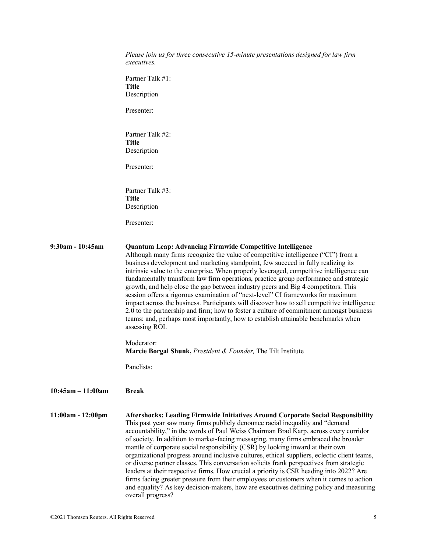|                     | Please join us for three consecutive 15-minute presentations designed for law firm<br><i>executives.</i>                                                                                                                                                                                                                                                                                                                                                                                                                                                                                                                                                                                                                                                                                                                                                                                                                             |
|---------------------|--------------------------------------------------------------------------------------------------------------------------------------------------------------------------------------------------------------------------------------------------------------------------------------------------------------------------------------------------------------------------------------------------------------------------------------------------------------------------------------------------------------------------------------------------------------------------------------------------------------------------------------------------------------------------------------------------------------------------------------------------------------------------------------------------------------------------------------------------------------------------------------------------------------------------------------|
|                     | Partner Talk #1:<br><b>Title</b>                                                                                                                                                                                                                                                                                                                                                                                                                                                                                                                                                                                                                                                                                                                                                                                                                                                                                                     |
|                     | Description                                                                                                                                                                                                                                                                                                                                                                                                                                                                                                                                                                                                                                                                                                                                                                                                                                                                                                                          |
|                     | Presenter:                                                                                                                                                                                                                                                                                                                                                                                                                                                                                                                                                                                                                                                                                                                                                                                                                                                                                                                           |
|                     | Partner Talk #2:<br><b>Title</b>                                                                                                                                                                                                                                                                                                                                                                                                                                                                                                                                                                                                                                                                                                                                                                                                                                                                                                     |
|                     | Description                                                                                                                                                                                                                                                                                                                                                                                                                                                                                                                                                                                                                                                                                                                                                                                                                                                                                                                          |
|                     | Presenter:                                                                                                                                                                                                                                                                                                                                                                                                                                                                                                                                                                                                                                                                                                                                                                                                                                                                                                                           |
|                     | Partner Talk #3:                                                                                                                                                                                                                                                                                                                                                                                                                                                                                                                                                                                                                                                                                                                                                                                                                                                                                                                     |
|                     | <b>Title</b><br>Description                                                                                                                                                                                                                                                                                                                                                                                                                                                                                                                                                                                                                                                                                                                                                                                                                                                                                                          |
|                     | Presenter:                                                                                                                                                                                                                                                                                                                                                                                                                                                                                                                                                                                                                                                                                                                                                                                                                                                                                                                           |
|                     |                                                                                                                                                                                                                                                                                                                                                                                                                                                                                                                                                                                                                                                                                                                                                                                                                                                                                                                                      |
| $9:30$ am - 10:45am | <b>Quantum Leap: Advancing Firmwide Competitive Intelligence</b><br>Although many firms recognize the value of competitive intelligence ("CI") from a<br>business development and marketing standpoint, few succeed in fully realizing its<br>intrinsic value to the enterprise. When properly leveraged, competitive intelligence can<br>fundamentally transform law firm operations, practice group performance and strategic<br>growth, and help close the gap between industry peers and Big 4 competitors. This<br>session offers a rigorous examination of "next-level" CI frameworks for maximum<br>impact across the business. Participants will discover how to sell competitive intelligence<br>2.0 to the partnership and firm; how to foster a culture of commitment amongst business<br>teams; and, perhaps most importantly, how to establish attainable benchmarks when<br>assessing ROI.                             |
|                     | Moderator:<br><b>Marcie Borgal Shunk, President &amp; Founder, The Tilt Institute</b>                                                                                                                                                                                                                                                                                                                                                                                                                                                                                                                                                                                                                                                                                                                                                                                                                                                |
|                     | Panelists:                                                                                                                                                                                                                                                                                                                                                                                                                                                                                                                                                                                                                                                                                                                                                                                                                                                                                                                           |
| $10:45am - 11:00am$ | <b>Break</b>                                                                                                                                                                                                                                                                                                                                                                                                                                                                                                                                                                                                                                                                                                                                                                                                                                                                                                                         |
| $11:00am - 12:00pm$ | Aftershocks: Leading Firmwide Initiatives Around Corporate Social Responsibility<br>This past year saw many firms publicly denounce racial inequality and "demand<br>accountability," in the words of Paul Weiss Chairman Brad Karp, across every corridor<br>of society. In addition to market-facing messaging, many firms embraced the broader<br>mantle of corporate social responsibility (CSR) by looking inward at their own<br>organizational progress around inclusive cultures, ethical suppliers, eclectic client teams,<br>or diverse partner classes. This conversation solicits frank perspectives from strategic<br>leaders at their respective firms. How crucial a priority is CSR heading into 2022? Are<br>firms facing greater pressure from their employees or customers when it comes to action<br>and equality? As key decision-makers, how are executives defining policy and measuring<br>overall progress? |